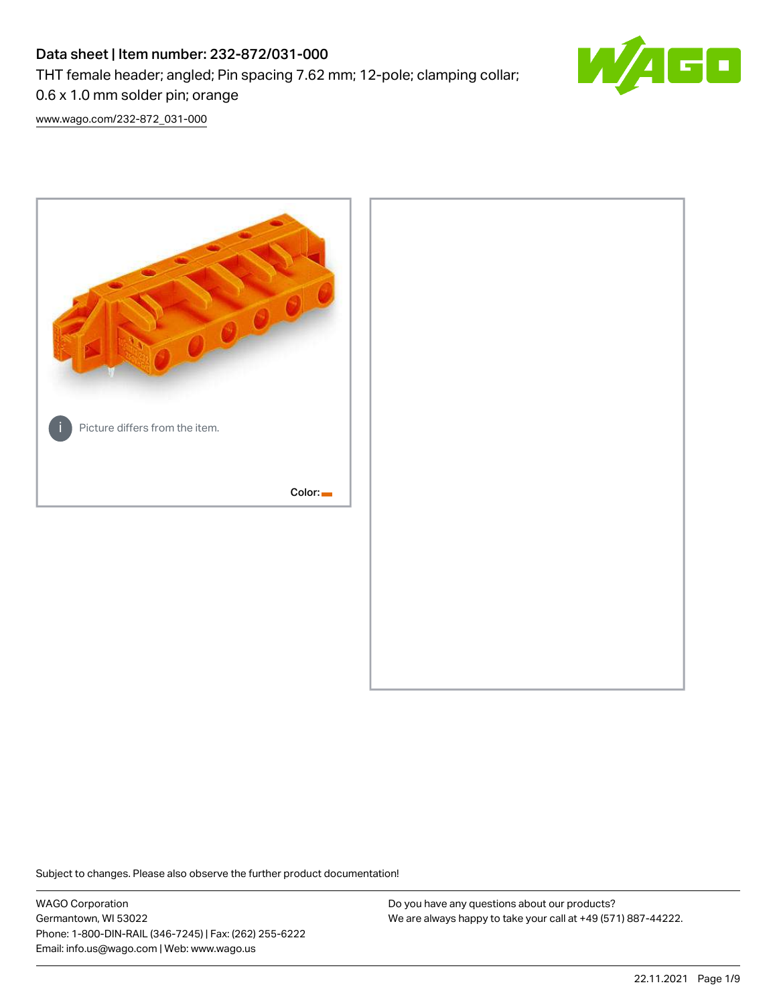# Data sheet | Item number: 232-872/031-000 THT female header; angled; Pin spacing 7.62 mm; 12-pole; clamping collar; 0.6 x 1.0 mm solder pin; orange



[www.wago.com/232-872\\_031-000](http://www.wago.com/232-872_031-000)



Subject to changes. Please also observe the further product documentation!

WAGO Corporation Germantown, WI 53022 Phone: 1-800-DIN-RAIL (346-7245) | Fax: (262) 255-6222 Email: info.us@wago.com | Web: www.wago.us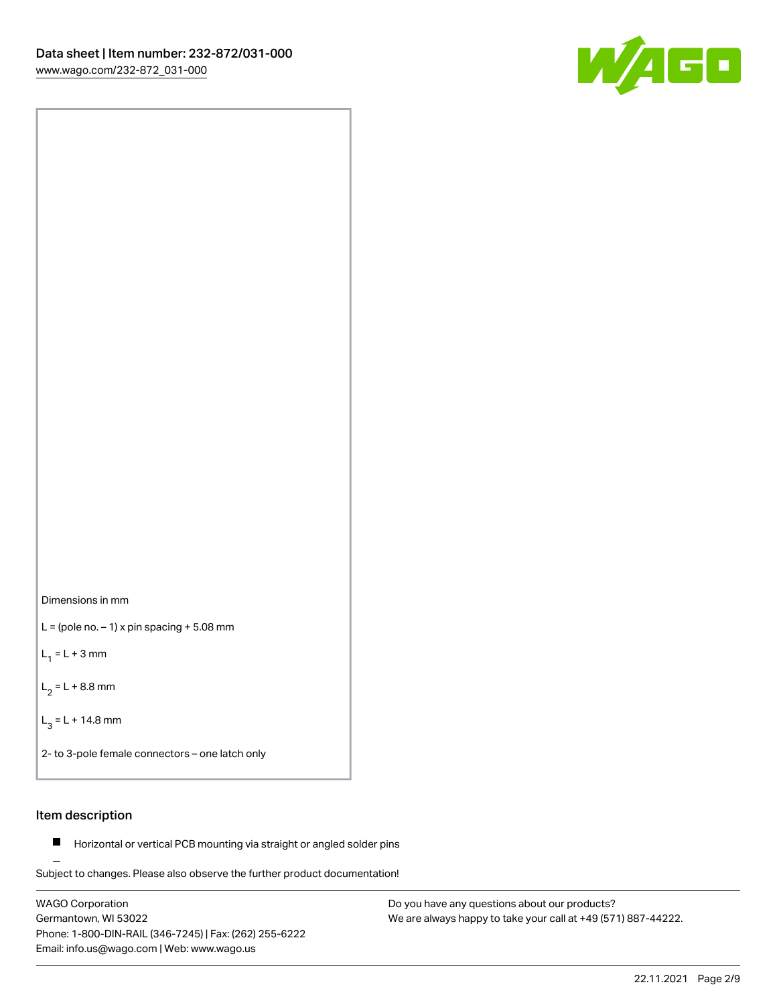

Dimensions in mm

 $L =$  (pole no.  $-1$ ) x pin spacing  $+5.08$  mm

 $L_1 = L + 3$  mm

 $L_2 = L + 8.8$  mm

 $L_3 = L + 14.8$  mm

2- to 3-pole female connectors – one latch only

### Item description

**Horizontal or vertical PCB mounting via straight or angled solder pins** 

Subject to changes. Please also observe the further product documentation! For board-to-board and board-to-wire connections

WAGO Corporation Germantown, WI 53022 Phone: 1-800-DIN-RAIL (346-7245) | Fax: (262) 255-6222 Email: info.us@wago.com | Web: www.wago.us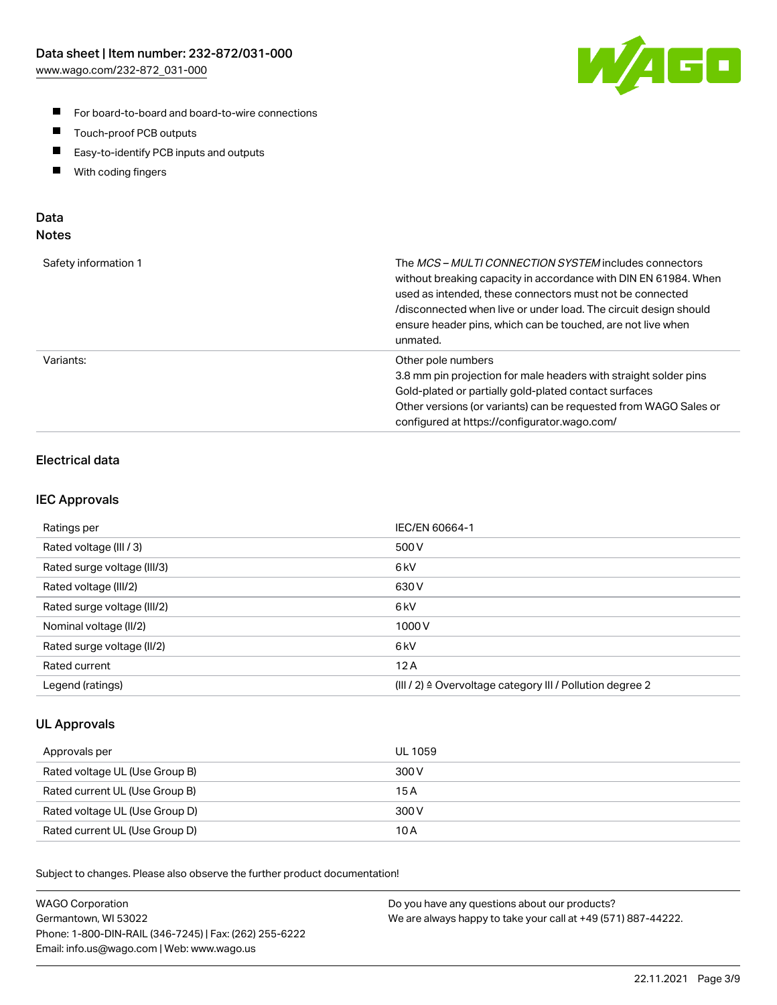

- For board-to-board and board-to-wire connections
- $\blacksquare$ Touch-proof PCB outputs
- $\blacksquare$ Easy-to-identify PCB inputs and outputs
- $\blacksquare$ With coding fingers

### Data **Notes**

| Safety information 1 | The <i>MCS – MULTI CONNECTION SYSTEM</i> includes connectors<br>without breaking capacity in accordance with DIN EN 61984. When<br>used as intended, these connectors must not be connected<br>/disconnected when live or under load. The circuit design should<br>ensure header pins, which can be touched, are not live when<br>unmated. |
|----------------------|--------------------------------------------------------------------------------------------------------------------------------------------------------------------------------------------------------------------------------------------------------------------------------------------------------------------------------------------|
| Variants:            | Other pole numbers<br>3.8 mm pin projection for male headers with straight solder pins<br>Gold-plated or partially gold-plated contact surfaces<br>Other versions (or variants) can be requested from WAGO Sales or<br>configured at https://configurator.wago.com/                                                                        |

## Electrical data

#### IEC Approvals

| Ratings per                 | IEC/EN 60664-1                                                        |
|-----------------------------|-----------------------------------------------------------------------|
| Rated voltage (III / 3)     | 500 V                                                                 |
| Rated surge voltage (III/3) | 6kV                                                                   |
| Rated voltage (III/2)       | 630 V                                                                 |
| Rated surge voltage (III/2) | 6 <sub>kV</sub>                                                       |
| Nominal voltage (II/2)      | 1000 V                                                                |
| Rated surge voltage (II/2)  | 6 <sub>kV</sub>                                                       |
| Rated current               | 12A                                                                   |
| Legend (ratings)            | $(III / 2)$ $\triangle$ Overvoltage category III / Pollution degree 2 |

#### UL Approvals

| Approvals per                  | UL 1059 |
|--------------------------------|---------|
| Rated voltage UL (Use Group B) | 300 V   |
| Rated current UL (Use Group B) | 15 A    |
| Rated voltage UL (Use Group D) | 300 V   |
| Rated current UL (Use Group D) | 10 A    |

| <b>WAGO Corporation</b>                                | Do you have any questions about our products?                 |
|--------------------------------------------------------|---------------------------------------------------------------|
| Germantown, WI 53022                                   | We are always happy to take your call at +49 (571) 887-44222. |
| Phone: 1-800-DIN-RAIL (346-7245)   Fax: (262) 255-6222 |                                                               |
| Email: info.us@wago.com   Web: www.wago.us             |                                                               |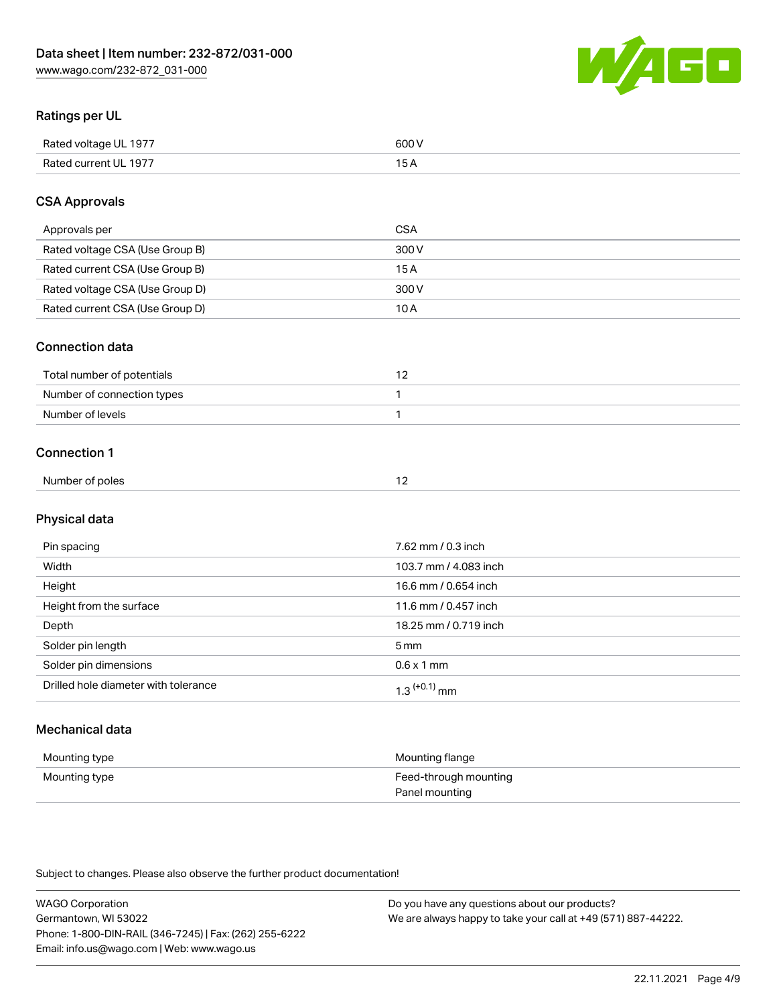

## Ratings per UL

| Rated voltage UL 1977 | 600   |
|-----------------------|-------|
| Rated current UL 1977 | . O F |

### CSA Approvals

| Approvals per                   | CSA   |
|---------------------------------|-------|
| Rated voltage CSA (Use Group B) | 300 V |
| Rated current CSA (Use Group B) | 15 A  |
| Rated voltage CSA (Use Group D) | 300 V |
| Rated current CSA (Use Group D) | 10 A  |

#### Connection data

| Total number of potentials |  |
|----------------------------|--|
| Number of connection types |  |
| Number of levels           |  |

#### Connection 1

|                 | $\sim$ |
|-----------------|--------|
| Number of poles |        |

## Physical data

| Pin spacing                          | 7.62 mm / 0.3 inch    |
|--------------------------------------|-----------------------|
| Width                                | 103.7 mm / 4.083 inch |
| Height                               | 16.6 mm / 0.654 inch  |
| Height from the surface              | 11.6 mm / 0.457 inch  |
| Depth                                | 18.25 mm / 0.719 inch |
| Solder pin length                    | 5 <sub>mm</sub>       |
| Solder pin dimensions                | $0.6 \times 1$ mm     |
| Drilled hole diameter with tolerance | $1.3$ $(+0.1)$ mm     |

## Mechanical data

| Mounting type | Mounting flange                         |
|---------------|-----------------------------------------|
| Mounting type | Feed-through mounting<br>Panel mounting |

| <b>WAGO Corporation</b>                                | Do you have any questions about our products?                 |
|--------------------------------------------------------|---------------------------------------------------------------|
| Germantown, WI 53022                                   | We are always happy to take your call at +49 (571) 887-44222. |
| Phone: 1-800-DIN-RAIL (346-7245)   Fax: (262) 255-6222 |                                                               |
| Email: info.us@wago.com   Web: www.wago.us             |                                                               |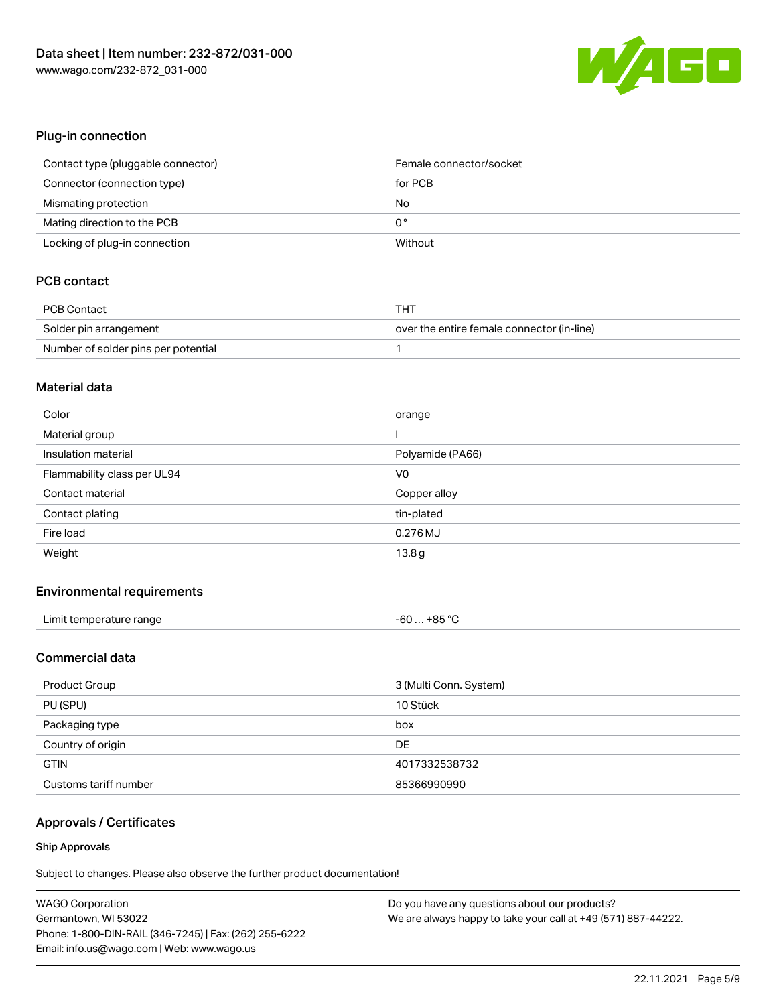

### Plug-in connection

| Contact type (pluggable connector) | Female connector/socket |
|------------------------------------|-------------------------|
| Connector (connection type)        | for PCB                 |
| Mismating protection               | No                      |
| Mating direction to the PCB        | 0°                      |
| Locking of plug-in connection      | Without                 |

## PCB contact

| PCB Contact                         | THT                                        |
|-------------------------------------|--------------------------------------------|
| Solder pin arrangement              | over the entire female connector (in-line) |
| Number of solder pins per potential |                                            |

#### Material data

| Color                       | orange           |
|-----------------------------|------------------|
| Material group              |                  |
| Insulation material         | Polyamide (PA66) |
| Flammability class per UL94 | V <sub>0</sub>   |
| Contact material            | Copper alloy     |
| Contact plating             | tin-plated       |
|                             |                  |
| Fire load                   | 0.276 MJ         |

#### Environmental requirements

| Limit temperature range | $-60+85 °C$ |
|-------------------------|-------------|
|                         |             |

## Commercial data

| 3 (Multi Conn. System)<br>Product Group |               |
|-----------------------------------------|---------------|
| PU (SPU)                                | 10 Stück      |
| Packaging type                          | box           |
| Country of origin                       | DE            |
| <b>GTIN</b>                             | 4017332538732 |
| Customs tariff number                   | 85366990990   |

## Approvals / Certificates

#### Ship Approvals

| <b>WAGO Corporation</b>                                | Do you have any questions about our products?                 |
|--------------------------------------------------------|---------------------------------------------------------------|
| Germantown, WI 53022                                   | We are always happy to take your call at +49 (571) 887-44222. |
| Phone: 1-800-DIN-RAIL (346-7245)   Fax: (262) 255-6222 |                                                               |
| Email: info.us@wago.com   Web: www.wago.us             |                                                               |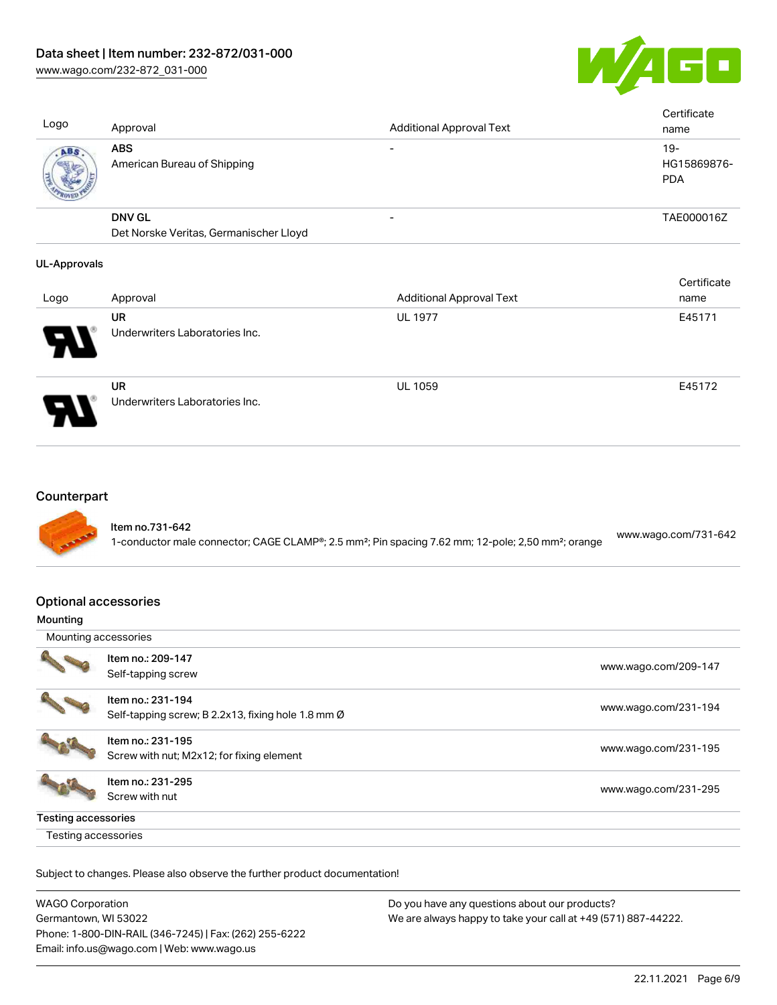[www.wago.com/232-872\\_031-000](http://www.wago.com/232-872_031-000)



| Logo | Approval                                  | <b>Additional Approval Text</b> | Certificate<br>name                |
|------|-------------------------------------------|---------------------------------|------------------------------------|
| ABS  | <b>ABS</b><br>American Bureau of Shipping |                                 | $19-$<br>HG15869876-<br><b>PDA</b> |
|      | <b>DNV GL</b>                             | $\overline{\phantom{0}}$        | TAE000016Z                         |
|      | Det Norske Veritas, Germanischer Lloyd    |                                 |                                    |

#### UL-Approvals

| Logo                       | Approval                                    | <b>Additional Approval Text</b> | Certificate<br>name |
|----------------------------|---------------------------------------------|---------------------------------|---------------------|
| $\boldsymbol{\mathcal{A}}$ | <b>UR</b><br>Underwriters Laboratories Inc. | <b>UL 1977</b>                  | E45171              |
| P.                         | <b>UR</b><br>Underwriters Laboratories Inc. | <b>UL 1059</b>                  | E45172              |

## **Counterpart**



## Item no.731-642

1-conductor male connector; CAGE CLAMP®; 2.5 mm²; Pin spacing 7.62 mm; 12-pole; 2,50 mm²; orange [www.wago.com/731-642](https://www.wago.com/731-642)

### Optional accessories

| <br>Mounting accessories   |                                                    |                      |
|----------------------------|----------------------------------------------------|----------------------|
|                            | Item no.: 209-147                                  | www.wago.com/209-147 |
|                            | Self-tapping screw                                 |                      |
|                            | Item no.: 231-194                                  |                      |
|                            | Self-tapping screw; B 2.2x13, fixing hole 1.8 mm Ø | www.wago.com/231-194 |
|                            | Item no.: 231-195                                  |                      |
|                            | Screw with nut; M2x12; for fixing element          | www.wago.com/231-195 |
|                            | Item no.: 231-295                                  |                      |
|                            | Screw with nut                                     | www.wago.com/231-295 |
| <b>Testing accessories</b> |                                                    |                      |
| Testing accessories        |                                                    |                      |

| <b>WAGO Corporation</b>                                | Do you have any questions about our products?                 |  |
|--------------------------------------------------------|---------------------------------------------------------------|--|
| Germantown, WI 53022                                   | We are always happy to take your call at +49 (571) 887-44222. |  |
| Phone: 1-800-DIN-RAIL (346-7245)   Fax: (262) 255-6222 |                                                               |  |
| Email: info.us@wago.com   Web: www.wago.us             |                                                               |  |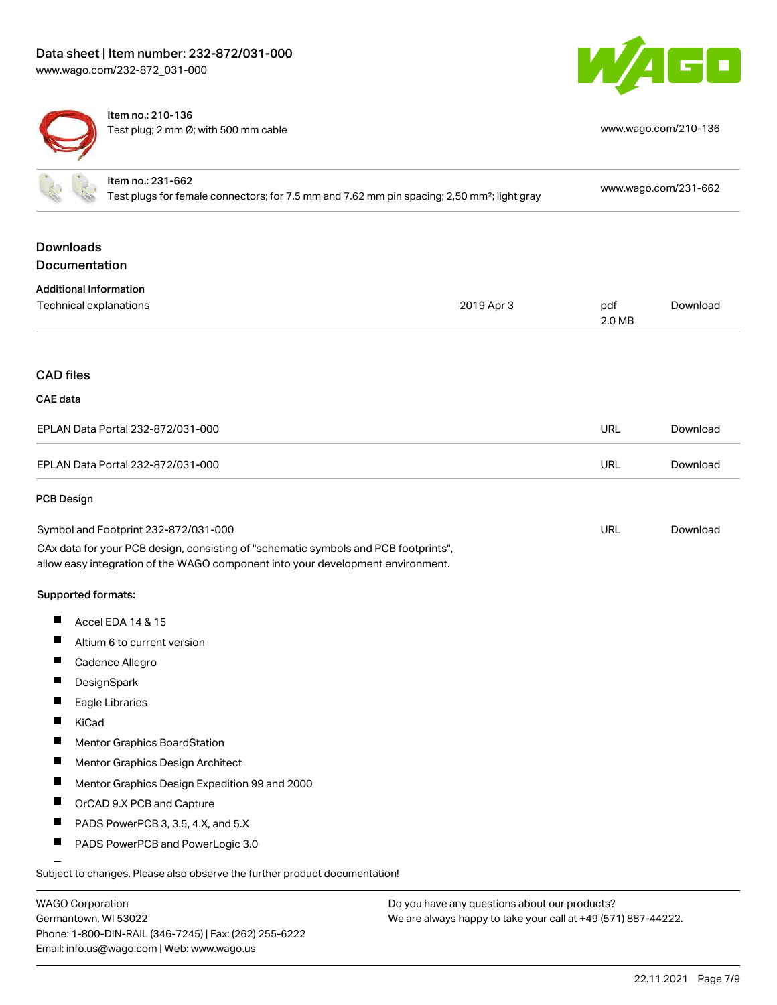



Item no.: 210-136 Test plug; 2 mm Ø; with 500 mm cable [www.wago.com/210-136](http://www.wago.com/210-136)

|                  | Item no.: 231-662<br>Test plugs for female connectors; for 7.5 mm and 7.62 mm pin spacing; 2,50 mm <sup>2</sup> ; light gray                                           |            |               | www.wago.com/231-662 |
|------------------|------------------------------------------------------------------------------------------------------------------------------------------------------------------------|------------|---------------|----------------------|
|                  | <b>Downloads</b><br>Documentation                                                                                                                                      |            |               |                      |
|                  | <b>Additional Information</b>                                                                                                                                          |            |               |                      |
|                  | Technical explanations                                                                                                                                                 | 2019 Apr 3 | pdf<br>2.0 MB | Download             |
| <b>CAD files</b> |                                                                                                                                                                        |            |               |                      |
| <b>CAE</b> data  |                                                                                                                                                                        |            |               |                      |
|                  | EPLAN Data Portal 232-872/031-000                                                                                                                                      |            | <b>URL</b>    | Download             |
|                  | EPLAN Data Portal 232-872/031-000                                                                                                                                      |            | URL           | Download             |
| PCB Design       |                                                                                                                                                                        |            |               |                      |
|                  | Symbol and Footprint 232-872/031-000                                                                                                                                   |            | <b>URL</b>    | Download             |
|                  | CAx data for your PCB design, consisting of "schematic symbols and PCB footprints",<br>allow easy integration of the WAGO component into your development environment. |            |               |                      |
|                  | Supported formats:                                                                                                                                                     |            |               |                      |
| ш                | Accel EDA 14 & 15                                                                                                                                                      |            |               |                      |
|                  | Altium 6 to current version                                                                                                                                            |            |               |                      |
| $\blacksquare$   | Cadence Allegro                                                                                                                                                        |            |               |                      |
| Ш                | DesignSpark                                                                                                                                                            |            |               |                      |
|                  | Eagle Libraries                                                                                                                                                        |            |               |                      |
|                  | KiCad                                                                                                                                                                  |            |               |                      |
| $\blacksquare$   | Mentor Graphics BoardStation                                                                                                                                           |            |               |                      |
|                  | Mentor Graphics Design Architect                                                                                                                                       |            |               |                      |
| $\blacksquare$   | Mentor Graphics Design Expedition 99 and 2000                                                                                                                          |            |               |                      |
| $\blacksquare$   | OrCAD 9.X PCB and Capture                                                                                                                                              |            |               |                      |
| Ш                | PADS PowerPCB 3, 3.5, 4.X, and 5.X                                                                                                                                     |            |               |                      |
| ш                | PADS PowerPCB and PowerLogic 3.0                                                                                                                                       |            |               |                      |
|                  | Subject to changes. Please also observe the further product documentation!                                                                                             |            |               |                      |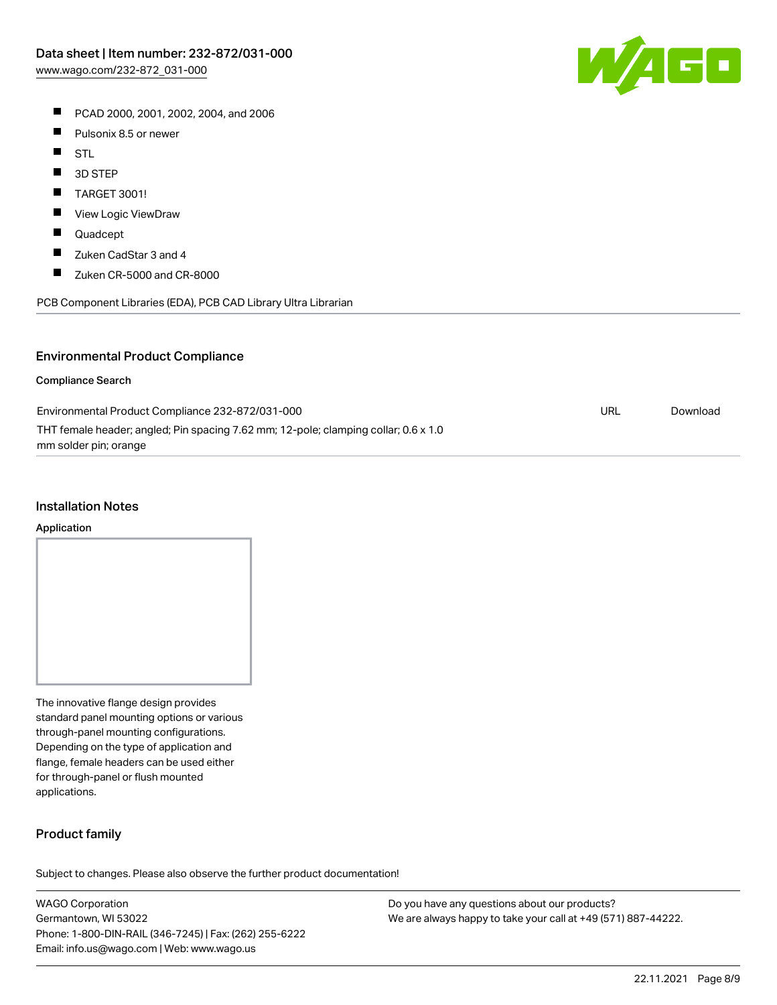- PCAD 2000, 2001, 2002, 2004, and 2006
- $\blacksquare$ Pulsonix 8.5 or newer
- $\blacksquare$ STL
- $\blacksquare$ 3D STEP
- $\blacksquare$ TARGET 3001!
- $\blacksquare$ View Logic ViewDraw
- $\blacksquare$ Quadcept
- $\blacksquare$ Zuken CadStar 3 and 4
- $\blacksquare$ Zuken CR-5000 and CR-8000

PCB Component Libraries (EDA), PCB CAD Library Ultra Librarian

## Environmental Product Compliance

#### Compliance Search

| Environmental Product Compliance 232-872/031-000                                    | URL | Download |
|-------------------------------------------------------------------------------------|-----|----------|
| THT female header; angled; Pin spacing 7.62 mm; 12-pole; clamping collar; 0.6 x 1.0 |     |          |
| mm solder pin; orange                                                               |     |          |

#### Installation Notes

#### Application

The innovative flange design provides standard panel mounting options or various through-panel mounting configurations. Depending on the type of application and flange, female headers can be used either for through-panel or flush mounted applications.

## Product family

Subject to changes. Please also observe the further product documentation!

WAGO Corporation Germantown, WI 53022 Phone: 1-800-DIN-RAIL (346-7245) | Fax: (262) 255-6222 Email: info.us@wago.com | Web: www.wago.us